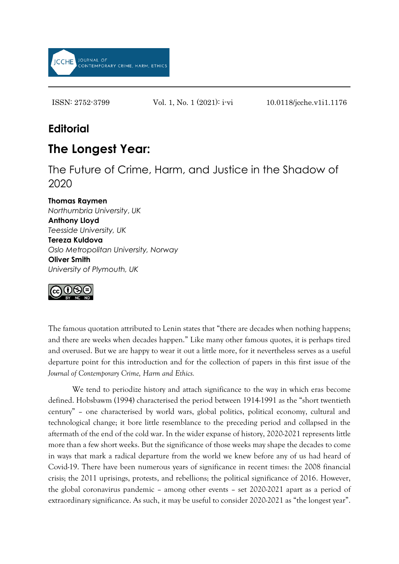

ISSN: 2752-3799 Vol. 1, No. 1 (2021): i-vi 10.0118/jcche.v1i1.1176

## **Editorial**

## **The Longest Year:**

The Future of Crime, Harm, and Justice in the Shadow of 2020

**Thomas Raymen**

*Northumbria University*, *UK* **Anthony Lloyd** *Teesside University, UK* **Tereza Kuldova** *Oslo Metropolitan University, Norway* **Oliver Smith** *University of Plymouth, UK*



The famous quotation attributed to Lenin states that "there are decades when nothing happens; and there are weeks when decades happen." Like many other famous quotes, it is perhaps tired and overused. But we are happy to wear it out a little more, for it nevertheless serves as a useful departure point for this introduction and for the collection of papers in this first issue of the *Journal of Contemporary Crime, Harm and Ethics.*

We tend to periodize history and attach significance to the way in which eras become defined. Hobsbawm (1994) characterised the period between 1914-1991 as the "short twentieth century" – one characterised by world wars, global politics, political economy, cultural and technological change; it bore little resemblance to the preceding period and collapsed in the aftermath of the end of the cold war. In the wider expanse of history, 2020-2021 represents little more than a few short weeks. But the significance of those weeks may shape the decades to come in ways that mark a radical departure from the world we knew before any of us had heard of Covid-19. There have been numerous years of significance in recent times: the 2008 financial crisis; the 2011 uprisings, protests, and rebellions; the political significance of 2016. However, the global coronavirus pandemic – among other events – set 2020-2021 apart as a period of extraordinary significance. As such, it may be useful to consider 2020-2021 as "the longest year".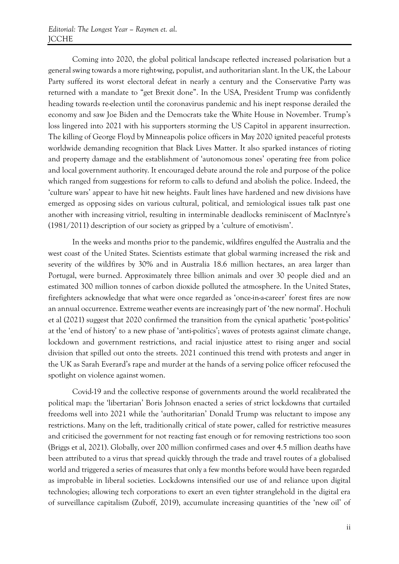Coming into 2020, the global political landscape reflected increased polarisation but a general swing towards a more right-wing, populist, and authoritarian slant. In the UK, the Labour Party suffered its worst electoral defeat in nearly a century and the Conservative Party was returned with a mandate to "get Brexit done". In the USA, President Trump was confidently heading towards re-election until the coronavirus pandemic and his inept response derailed the economy and saw Joe Biden and the Democrats take the White House in November. Trump's loss lingered into 2021 with his supporters storming the US Capitol in apparent insurrection. The killing of George Floyd by Minneapolis police officers in May 2020 ignited peaceful protests worldwide demanding recognition that Black Lives Matter. It also sparked instances of rioting and property damage and the establishment of 'autonomous zones' operating free from police and local government authority. It encouraged debate around the role and purpose of the police which ranged from suggestions for reform to calls to defund and abolish the police. Indeed, the 'culture wars' appear to have hit new heights. Fault lines have hardened and new divisions have emerged as opposing sides on various cultural, political, and zemiological issues talk past one another with increasing vitriol, resulting in interminable deadlocks reminiscent of MacIntyre's (1981/2011) description of our society as gripped by a 'culture of emotivism'.

In the weeks and months prior to the pandemic, wildfires engulfed the Australia and the west coast of the United States. Scientists estimate that global warming increased the risk and severity of the wildfires by 30% and in Australia 18.6 million hectares, an area larger than Portugal, were burned. Approximately three billion animals and over 30 people died and an estimated 300 million tonnes of carbon dioxide polluted the atmosphere. In the United States, firefighters acknowledge that what were once regarded as 'once-in-a-career' forest fires are now an annual occurrence. Extreme weather events are increasingly part of 'the new normal'. Hochuli et al (2021) suggest that 2020 confirmed the transition from the cynical apathetic 'post-politics' at the 'end of history' to a new phase of 'anti-politics'; waves of protests against climate change, lockdown and government restrictions, and racial injustice attest to rising anger and social division that spilled out onto the streets. 2021 continued this trend with protests and anger in the UK as Sarah Everard's rape and murder at the hands of a serving police officer refocused the spotlight on violence against women.

Covid-19 and the collective response of governments around the world recalibrated the political map: the 'libertarian' Boris Johnson enacted a series of strict lockdowns that curtailed freedoms well into 2021 while the 'authoritarian' Donald Trump was reluctant to impose any restrictions. Many on the left, traditionally critical of state power, called for restrictive measures and criticised the government for not reacting fast enough or for removing restrictions too soon (Briggs et al, 2021). Globally, over 200 million confirmed cases and over 4.5 million deaths have been attributed to a virus that spread quickly through the trade and travel routes of a globalised world and triggered a series of measures that only a few months before would have been regarded as improbable in liberal societies. Lockdowns intensified our use of and reliance upon digital technologies; allowing tech corporations to exert an even tighter stranglehold in the digital era of surveillance capitalism (Zuboff, 2019), accumulate increasing quantities of the 'new oil' of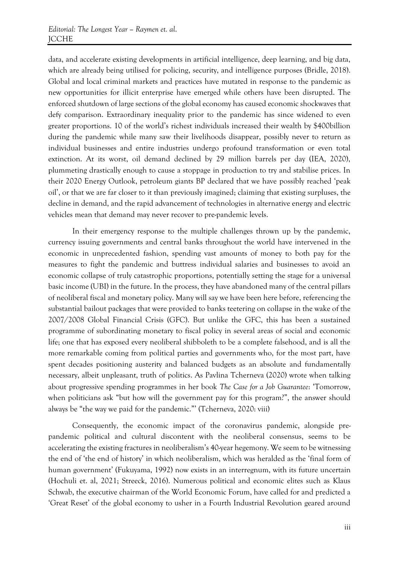data, and accelerate existing developments in artificial intelligence, deep learning, and big data, which are already being utilised for policing, security, and intelligence purposes (Bridle, 2018). Global and local criminal markets and practices have mutated in response to the pandemic as new opportunities for illicit enterprise have emerged while others have been disrupted. The enforced shutdown of large sections of the global economy has caused economic shockwaves that defy comparison. Extraordinary inequality prior to the pandemic has since widened to even greater proportions. 10 of the world's richest individuals increased their wealth by \$400billion during the pandemic while many saw their livelihoods disappear, possibly never to return as individual businesses and entire industries undergo profound transformation or even total extinction. At its worst, oil demand declined by 29 million barrels per day (IEA, 2020), plummeting drastically enough to cause a stoppage in production to try and stabilise prices. In their 2020 Energy Outlook, petroleum giants BP declared that we have possibly reached 'peak oil', or that we are far closer to it than previously imagined; claiming that existing surpluses, the decline in demand, and the rapid advancement of technologies in alternative energy and electric vehicles mean that demand may never recover to pre-pandemic levels.

In their emergency response to the multiple challenges thrown up by the pandemic, currency issuing governments and central banks throughout the world have intervened in the economic in unprecedented fashion, spending vast amounts of money to both pay for the measures to fight the pandemic and buttress individual salaries and businesses to avoid an economic collapse of truly catastrophic proportions, potentially setting the stage for a universal basic income (UBI) in the future. In the process, they have abandoned many of the central pillars of neoliberal fiscal and monetary policy. Many will say we have been here before, referencing the substantial bailout packages that were provided to banks teetering on collapse in the wake of the 2007/2008 Global Financial Crisis (GFC). But unlike the GFC, this has been a sustained programme of subordinating monetary to fiscal policy in several areas of social and economic life; one that has exposed every neoliberal shibboleth to be a complete falsehood, and is all the more remarkable coming from political parties and governments who, for the most part, have spent decades positioning austerity and balanced budgets as an absolute and fundamentally necessary, albeit unpleasant, truth of politics. As Pavlina Tcherneva (2020) wrote when talking about progressive spending programmes in her book *The Case for a Job Guarantee*: 'Tomorrow, when politicians ask "but how will the government pay for this program?", the answer should always be "the way we paid for the pandemic."' (Tcherneva, 2020: viii)

Consequently, the economic impact of the coronavirus pandemic, alongside prepandemic political and cultural discontent with the neoliberal consensus, seems to be accelerating the existing fractures in neoliberalism's 40-year hegemony. We seem to be witnessing the end of 'the end of history' in which neoliberalism, which was heralded as the 'final form of human government' (Fukuyama, 1992) now exists in an interregnum, with its future uncertain (Hochuli et. al, 2021; Streeck, 2016). Numerous political and economic elites such as Klaus Schwab, the executive chairman of the World Economic Forum, have called for and predicted a 'Great Reset' of the global economy to usher in a Fourth Industrial Revolution geared around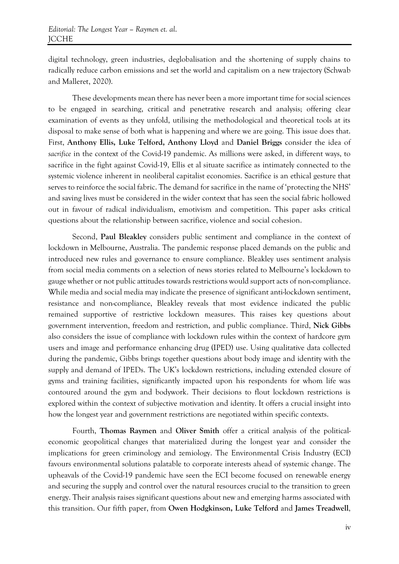digital technology, green industries, deglobalisation and the shortening of supply chains to radically reduce carbon emissions and set the world and capitalism on a new trajectory (Schwab and Malleret, 2020).

These developments mean there has never been a more important time for social sciences to be engaged in searching, critical and penetrative research and analysis; offering clear examination of events as they unfold, utilising the methodological and theoretical tools at its disposal to make sense of both what is happening and where we are going. This issue does that. First, **Anthony Ellis, Luke Telford, Anthony Lloyd** and **Daniel Briggs** consider the idea of *sacrifice* in the context of the Covid-19 pandemic. As millions were asked, in different ways, to sacrifice in the fight against Covid-19, Ellis et al situate sacrifice as intimately connected to the systemic violence inherent in neoliberal capitalist economies. Sacrifice is an ethical gesture that serves to reinforce the social fabric. The demand for sacrifice in the name of 'protecting the NHS' and saving lives must be considered in the wider context that has seen the social fabric hollowed out in favour of radical individualism, emotivism and competition. This paper asks critical questions about the relationship between sacrifice, violence and social cohesion.

Second, **Paul Bleakley** considers public sentiment and compliance in the context of lockdown in Melbourne, Australia. The pandemic response placed demands on the public and introduced new rules and governance to ensure compliance. Bleakley uses sentiment analysis from social media comments on a selection of news stories related to Melbourne's lockdown to gauge whether or not public attitudes towards restrictions would support acts of non-compliance. While media and social media may indicate the presence of significant anti-lockdown sentiment, resistance and non-compliance, Bleakley reveals that most evidence indicated the public remained supportive of restrictive lockdown measures. This raises key questions about government intervention, freedom and restriction, and public compliance. Third, **Nick Gibbs** also considers the issue of compliance with lockdown rules within the context of hardcore gym users and image and performance enhancing drug (IPED) use. Using qualitative data collected during the pandemic, Gibbs brings together questions about body image and identity with the supply and demand of IPEDs. The UK's lockdown restrictions, including extended closure of gyms and training facilities, significantly impacted upon his respondents for whom life was contoured around the gym and bodywork. Their decisions to flout lockdown restrictions is explored within the context of subjective motivation and identity. It offers a crucial insight into how the longest year and government restrictions are negotiated within specific contexts.

Fourth, **Thomas Raymen** and **Oliver Smith** offer a critical analysis of the politicaleconomic geopolitical changes that materialized during the longest year and consider the implications for green criminology and zemiology. The Environmental Crisis Industry (ECI) favours environmental solutions palatable to corporate interests ahead of systemic change. The upheavals of the Covid-19 pandemic have seen the ECI become focused on renewable energy and securing the supply and control over the natural resources crucial to the transition to green energy. Their analysis raises significant questions about new and emerging harms associated with this transition. Our fifth paper, from **Owen Hodgkinson, Luke Telford** and **James Treadwell**,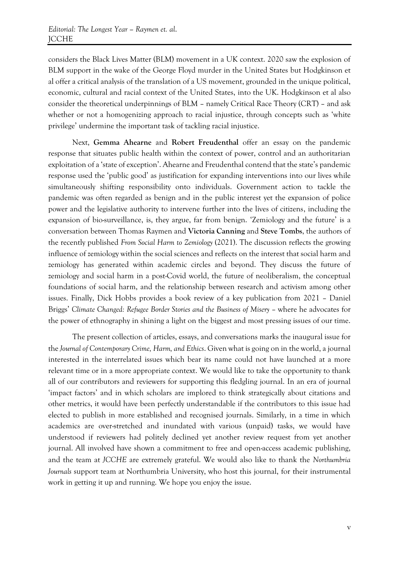considers the Black Lives Matter (BLM) movement in a UK context. 2020 saw the explosion of BLM support in the wake of the George Floyd murder in the United States but Hodgkinson et al offer a critical analysis of the translation of a US movement, grounded in the unique political, economic, cultural and racial context of the United States, into the UK. Hodgkinson et al also consider the theoretical underpinnings of BLM – namely Critical Race Theory (CRT) – and ask whether or not a homogenizing approach to racial injustice, through concepts such as 'white privilege' undermine the important task of tackling racial injustice.

Next, **Gemma Ahearne** and **Robert Freudenthal** offer an essay on the pandemic response that situates public health within the context of power, control and an authoritarian exploitation of a 'state of exception'. Ahearne and Freudenthal contend that the state's pandemic response used the 'public good' as justification for expanding interventions into our lives while simultaneously shifting responsibility onto individuals. Government action to tackle the pandemic was often regarded as benign and in the public interest yet the expansion of police power and the legislative authority to intervene further into the lives of citizens, including the expansion of bio-surveillance, is, they argue, far from benign. 'Zemiology and the future' is a conversation between Thomas Raymen and **Victoria Canning** and **Steve Tombs**, the authors of the recently published *From Social Harm to Zemiology* (2021). The discussion reflects the growing influence of zemiology within the social sciences and reflects on the interest that social harm and zemiology has generated within academic circles and beyond. They discuss the future of zemiology and social harm in a post-Covid world, the future of neoliberalism, the conceptual foundations of social harm, and the relationship between research and activism among other issues. Finally, Dick Hobbs provides a book review of a key publication from 2021 – Daniel Briggs' *Climate Changed: Refugee Border Stories and the Business of Misery* – where he advocates for the power of ethnography in shining a light on the biggest and most pressing issues of our time.

The present collection of articles, essays, and conversations marks the inaugural issue for the *Journal of Contemporary Crime, Harm, and Ethics*. Given what is going on in the world, a journal interested in the interrelated issues which bear its name could not have launched at a more relevant time or in a more appropriate context. We would like to take the opportunity to thank all of our contributors and reviewers for supporting this fledgling journal. In an era of journal 'impact factors' and in which scholars are implored to think strategically about citations and other metrics, it would have been perfectly understandable if the contributors to this issue had elected to publish in more established and recognised journals. Similarly, in a time in which academics are over-stretched and inundated with various (unpaid) tasks, we would have understood if reviewers had politely declined yet another review request from yet another journal. All involved have shown a commitment to free and open-access academic publishing, and the team at *JCCHE* are extremely grateful. We would also like to thank the *Northumbria Journals* support team at Northumbria University, who host this journal, for their instrumental work in getting it up and running. We hope you enjoy the issue.